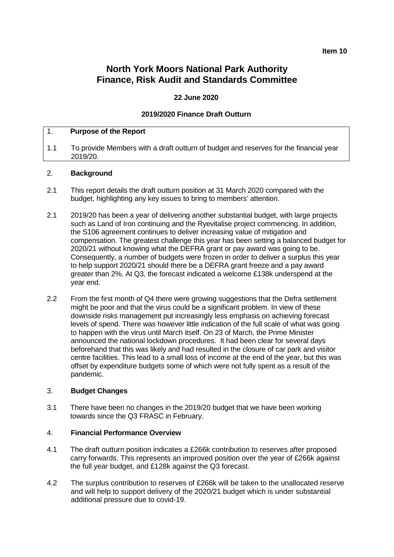### **Item 10**

# **North York Moors National Park Authority Finance, Risk Audit and Standards Committee**

## **22 June 2020**

# **2019/2020 Finance Draft Outturn**

#### 1. **Purpose of the Report**

1.1 To provide Members with a draft outturn of budget and reserves for the financial year 2019/20.

### 2. **Background**

- 2.1 This report details the draft outturn position at 31 March 2020 compared with the budget, highlighting any key issues to bring to members' attention.
- 2.1 2019/20 has been a year of delivering another substantial budget, with large projects such as Land of Iron continuing and the Ryevitalise project commencing. In addition, the S106 agreement continues to deliver increasing value of mitigation and compensation. The greatest challenge this year has been setting a balanced budget for 2020/21 without knowing what the DEFRA grant or pay award was going to be. Consequently, a number of budgets were frozen in order to deliver a surplus this year to help support 2020/21 should there be a DEFRA grant freeze and a pay award greater than 2%. At Q3, the forecast indicated a welcome £138k underspend at the year end.
- 2.2 From the first month of Q4 there were growing suggestions that the Defra settlement might be poor and that the virus could be a significant problem. In view of these downside risks management put increasingly less emphasis on achieving forecast levels of spend. There was however little indication of the full scale of what was going to happen with the virus until March itself. On 23 of March, the Prime Minister announced the national lockdown procedures. It had been clear for several days beforehand that this was likely and had resulted in the closure of car park and visitor centre facilities. This lead to a small loss of income at the end of the year, but this was offset by expenditure budgets some of which were not fully spent as a result of the pandemic.

#### 3. **Budget Changes**

3.1 There have been no changes in the 2019/20 budget that we have been working towards since the Q3 FRASC in February.

#### 4. **Financial Performance Overview**

- 4.1 The draft outturn position indicates a £266k contribution to reserves after proposed carry forwards. This represents an improved position over the year of £266k against the full year budget, and £128k against the Q3 forecast.
- 4.2 The surplus contribution to reserves of £266k will be taken to the unallocated reserve and will help to support delivery of the 2020/21 budget which is under substantial additional pressure due to covid-19.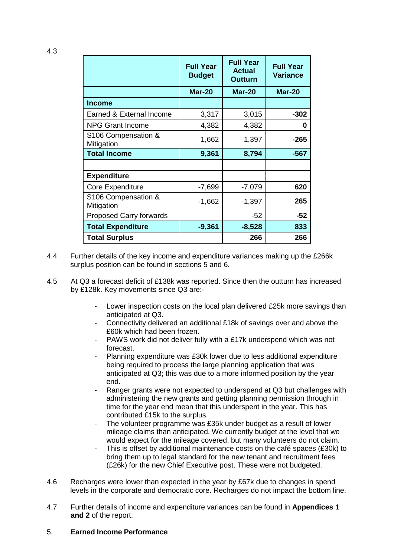|                                   | <b>Full Year</b><br><b>Budget</b> | <b>Full Year</b><br><b>Actual</b><br><b>Outturn</b> | <b>Full Year</b><br><b>Variance</b> |
|-----------------------------------|-----------------------------------|-----------------------------------------------------|-------------------------------------|
|                                   | <b>Mar-20</b>                     | <b>Mar-20</b>                                       | <b>Mar-20</b>                       |
| <b>Income</b>                     |                                   |                                                     |                                     |
| Earned & External Income          | 3,317                             | 3,015                                               | $-302$                              |
| <b>NPG Grant Income</b>           | 4,382                             | 4,382                                               | 0                                   |
| S106 Compensation &<br>Mitigation | 1,662                             | 1,397                                               | $-265$                              |
| <b>Total Income</b>               | 9,361                             | 8,794                                               | -567                                |
|                                   |                                   |                                                     |                                     |
| <b>Expenditure</b>                |                                   |                                                     |                                     |
| Core Expenditure                  | $-7,699$                          | $-7,079$                                            | 620                                 |
| S106 Compensation &<br>Mitigation | $-1,662$                          | $-1,397$                                            | 265                                 |
| <b>Proposed Carry forwards</b>    |                                   | $-52$                                               | $-52$                               |
| <b>Total Expenditure</b>          | $-9,361$                          | $-8,528$                                            | 833                                 |
| <b>Total Surplus</b>              |                                   | 266                                                 | 266                                 |

- 4.4 Further details of the key income and expenditure variances making up the £266k surplus position can be found in sections 5 and 6.
- 4.5 At Q3 a forecast deficit of £138k was reported. Since then the outturn has increased by £128k. Key movements since Q3 are:-
	- Lower inspection costs on the local plan delivered £25k more savings than anticipated at Q3.
	- Connectivity delivered an additional £18k of savings over and above the £60k which had been frozen.
	- PAWS work did not deliver fully with a £17k underspend which was not forecast.
	- Planning expenditure was £30k lower due to less additional expenditure being required to process the large planning application that was anticipated at Q3; this was due to a more informed position by the year end.
	- Ranger grants were not expected to underspend at Q3 but challenges with administering the new grants and getting planning permission through in time for the year end mean that this underspent in the year. This has contributed £15k to the surplus.
	- The volunteer programme was £35k under budget as a result of lower mileage claims than anticipated. We currently budget at the level that we would expect for the mileage covered, but many volunteers do not claim.
	- This is offset by additional maintenance costs on the café spaces (£30k) to bring them up to legal standard for the new tenant and recruitment fees (£26k) for the new Chief Executive post. These were not budgeted.
- 4.6 Recharges were lower than expected in the year by £67k due to changes in spend levels in the corporate and democratic core. Recharges do not impact the bottom line.
- 4.7 Further details of income and expenditure variances can be found in **Appendices 1 and 2** of the report.

### 5. **Earned Income Performance**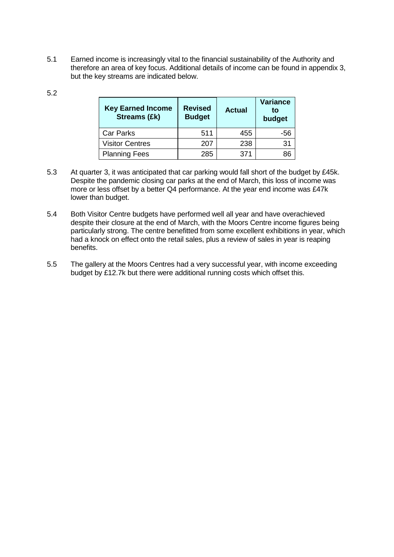5.1 Earned income is increasingly vital to the financial sustainability of the Authority and therefore an area of key focus. Additional details of income can be found in appendix 3, but the key streams are indicated below.

| ٠<br>. .<br>×<br>۰,<br>v |  |
|--------------------------|--|
|--------------------------|--|

| <b>Key Earned Income</b><br><b>Streams (£k)</b> | <b>Revised</b><br><b>Budget</b> | <b>Actual</b> | <b>Variance</b><br>to<br>budget |
|-------------------------------------------------|---------------------------------|---------------|---------------------------------|
| <b>Car Parks</b>                                | 511                             | 455           | -56                             |
| <b>Visitor Centres</b>                          | 207                             | 238           | 31                              |
| <b>Planning Fees</b>                            | 285                             | 371           |                                 |

- 5.3 At quarter 3, it was anticipated that car parking would fall short of the budget by £45k. Despite the pandemic closing car parks at the end of March, this loss of income was more or less offset by a better Q4 performance. At the year end income was £47k lower than budget.
- 5.4 Both Visitor Centre budgets have performed well all year and have overachieved despite their closure at the end of March, with the Moors Centre income figures being particularly strong. The centre benefitted from some excellent exhibitions in year, which had a knock on effect onto the retail sales, plus a review of sales in year is reaping benefits.
- 5.5 The gallery at the Moors Centres had a very successful year, with income exceeding budget by £12.7k but there were additional running costs which offset this.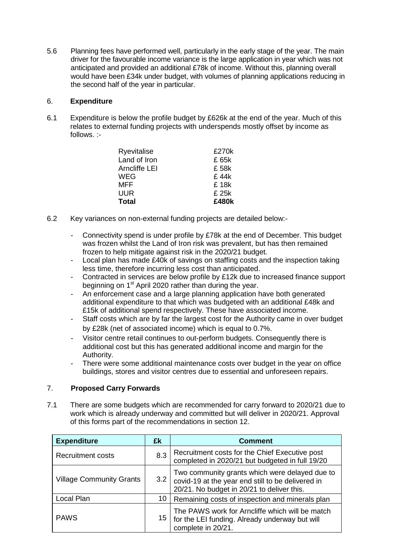5.6 Planning fees have performed well, particularly in the early stage of the year. The main driver for the favourable income variance is the large application in year which was not anticipated and provided an additional £78k of income. Without this, planning overall would have been £34k under budget, with volumes of planning applications reducing in the second half of the year in particular.

# 6. **Expenditure**

6.1 Expenditure is below the profile budget by £626k at the end of the year. Much of this relates to external funding projects with underspends mostly offset by income as follows. :-

| Ryevitalise   | £270k |
|---------------|-------|
| Land of Iron  | £ 65k |
| Arncliffe LEI | £ 58k |
| WEG           | £ 44k |
| MFF           | £ 18k |
| UUR           | £ 25k |
| Total         | £480k |

- 6.2 Key variances on non-external funding projects are detailed below:-
	- Connectivity spend is under profile by £78k at the end of December. This budget was frozen whilst the Land of Iron risk was prevalent, but has then remained frozen to help mitigate against risk in the 2020/21 budget.
	- Local plan has made £40k of savings on staffing costs and the inspection taking less time, therefore incurring less cost than anticipated.
	- Contracted in services are below profile by £12k due to increased finance support beginning on 1<sup>st</sup> April 2020 rather than during the year.
	- An enforcement case and a large planning application have both generated additional expenditure to that which was budgeted with an additional £48k and £15k of additional spend respectively. These have associated income.
	- Staff costs which are by far the largest cost for the Authority came in over budget by £28k (net of associated income) which is equal to 0.7%.
	- Visitor centre retail continues to out-perform budgets. Consequently there is additional cost but this has generated additional income and margin for the Authority.
	- There were some additional maintenance costs over budget in the year on office buildings, stores and visitor centres due to essential and unforeseen repairs.

# 7. **Proposed Carry Forwards**

7.1 There are some budgets which are recommended for carry forward to 2020/21 due to work which is already underway and committed but will deliver in 2020/21. Approval of this forms part of the recommendations in section 12.

| <b>Expenditure</b>              | £k               | <b>Comment</b>                                                                                                                                    |
|---------------------------------|------------------|---------------------------------------------------------------------------------------------------------------------------------------------------|
| <b>Recruitment costs</b>        | 8.3              | Recruitment costs for the Chief Executive post<br>completed in 2020/21 but budgeted in full 19/20                                                 |
| <b>Village Community Grants</b> | 3.2 <sub>2</sub> | Two community grants which were delayed due to<br>covid-19 at the year end still to be delivered in<br>20/21. No budget in 20/21 to deliver this. |
| Local Plan                      | 10               | Remaining costs of inspection and minerals plan                                                                                                   |
| <b>PAWS</b>                     | 15               | The PAWS work for Arncliffe which will be match<br>for the LEI funding. Already underway but will<br>complete in 20/21.                           |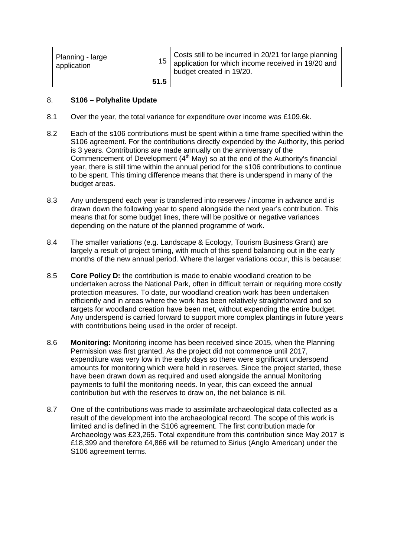| Planning - large<br>application |      | Costs still to be incurred in 20/21 for large planning<br>$15$ application for which income received in 19/20 and<br>budget created in 19/20. |
|---------------------------------|------|-----------------------------------------------------------------------------------------------------------------------------------------------|
|                                 | 51.5 |                                                                                                                                               |

### 8. **S106 – Polyhalite Update**

- 8.1 Over the year, the total variance for expenditure over income was £109.6k.
- 8.2 Each of the s106 contributions must be spent within a time frame specified within the S106 agreement. For the contributions directly expended by the Authority, this period is 3 years. Contributions are made annually on the anniversary of the Commencement of Development  $(4<sup>th</sup>$  May) so at the end of the Authority's financial year, there is still time within the annual period for the s106 contributions to continue to be spent. This timing difference means that there is underspend in many of the budget areas.
- 8.3 Any underspend each year is transferred into reserves / income in advance and is drawn down the following year to spend alongside the next year's contribution. This means that for some budget lines, there will be positive or negative variances depending on the nature of the planned programme of work.
- 8.4 The smaller variations (e.g. Landscape & Ecology, Tourism Business Grant) are largely a result of project timing, with much of this spend balancing out in the early months of the new annual period. Where the larger variations occur, this is because:
- 8.5 **Core Policy D:** the contribution is made to enable woodland creation to be undertaken across the National Park, often in difficult terrain or requiring more costly protection measures. To date, our woodland creation work has been undertaken efficiently and in areas where the work has been relatively straightforward and so targets for woodland creation have been met, without expending the entire budget. Any underspend is carried forward to support more complex plantings in future years with contributions being used in the order of receipt.
- 8.6 **Monitoring:** Monitoring income has been received since 2015, when the Planning Permission was first granted. As the project did not commence until 2017, expenditure was very low in the early days so there were significant underspend amounts for monitoring which were held in reserves. Since the project started, these have been drawn down as required and used alongside the annual Monitoring payments to fulfil the monitoring needs. In year, this can exceed the annual contribution but with the reserves to draw on, the net balance is nil.
- 8.7 One of the contributions was made to assimilate archaeological data collected as a result of the development into the archaeological record. The scope of this work is limited and is defined in the S106 agreement. The first contribution made for Archaeology was £23,265. Total expenditure from this contribution since May 2017 is £18,399 and therefore £4,866 will be returned to Sirius (Anglo American) under the S106 agreement terms.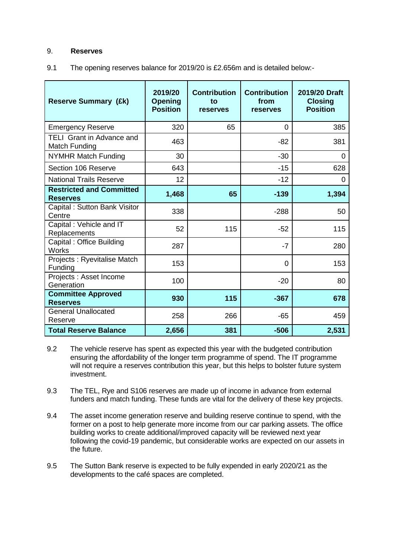### 9. **Reserves**

9.1 The opening reserves balance for 2019/20 is £2.656m and is detailed below:-

| <b>Reserve Summary (£k)</b>                        | 2019/20<br><b>Opening</b><br><b>Position</b> | <b>Contribution</b><br>to<br>reserves | <b>Contribution</b><br>from<br>reserves | 2019/20 Draft<br><b>Closing</b><br><b>Position</b> |
|----------------------------------------------------|----------------------------------------------|---------------------------------------|-----------------------------------------|----------------------------------------------------|
| <b>Emergency Reserve</b>                           | 320                                          | 65                                    | 0                                       | 385                                                |
| <b>TELI Grant in Advance and</b><br>Match Funding  | 463                                          |                                       | $-82$                                   | 381                                                |
| <b>NYMHR Match Funding</b>                         | 30                                           |                                       | $-30$                                   | 0                                                  |
| Section 106 Reserve                                | 643                                          |                                       | $-15$                                   | 628                                                |
| <b>National Trails Reserve</b>                     | 12                                           |                                       | $-12$                                   | 0                                                  |
| <b>Restricted and Committed</b><br><b>Reserves</b> | 1,468                                        | 65                                    | $-139$                                  | 1,394                                              |
| Capital: Sutton Bank Visitor<br>Centre             | 338                                          |                                       | $-288$                                  | 50                                                 |
| Capital: Vehicle and IT<br>Replacements            | 52                                           | 115                                   | $-52$                                   | 115                                                |
| Capital: Office Building<br><b>Works</b>           | 287                                          |                                       | $-7$                                    | 280                                                |
| Projects: Ryevitalise Match<br>Funding             | 153                                          |                                       | 0                                       | 153                                                |
| Projects : Asset Income<br>Generation              | 100                                          |                                       | $-20$                                   | 80                                                 |
| <b>Committee Approved</b><br><b>Reserves</b>       | 930                                          | 115                                   | $-367$                                  | 678                                                |
| <b>General Unallocated</b><br>Reserve              | 258                                          | 266                                   | $-65$                                   | 459                                                |
| <b>Total Reserve Balance</b>                       | 2,656                                        | 381                                   | $-506$                                  | 2,531                                              |

- 9.2 The vehicle reserve has spent as expected this year with the budgeted contribution ensuring the affordability of the longer term programme of spend. The IT programme will not require a reserves contribution this year, but this helps to bolster future system investment.
- 9.3 The TEL, Rye and S106 reserves are made up of income in advance from external funders and match funding. These funds are vital for the delivery of these key projects.
- 9.4 The asset income generation reserve and building reserve continue to spend, with the former on a post to help generate more income from our car parking assets. The office building works to create additional/improved capacity will be reviewed next year following the covid-19 pandemic, but considerable works are expected on our assets in the future.
- 9.5 The Sutton Bank reserve is expected to be fully expended in early 2020/21 as the developments to the café spaces are completed.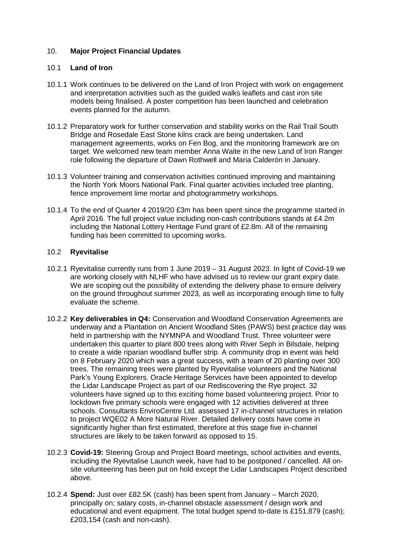## 10. **Major Project Financial Updates**

### 10.1 **Land of Iron**

- 10.1.1 Work continues to be delivered on the Land of Iron Project with work on engagement and interpretation activities such as the guided walks leaflets and cast iron site models being finalised. A poster competition has been launched and celebration events planned for the autumn.
- 10.1.2 Preparatory work for further conservation and stability works on the Rail Trail South Bridge and Rosedale East Stone kilns crack are being undertaken. Land management agreements, works on Fen Bog, and the monitoring framework are on target. We welcomed new team member Anna Waite in the new Land of Iron Ranger role following the departure of Dawn Rothwell and Maria Calderón in January.
- 10.1.3 Volunteer training and conservation activities continued improving and maintaining the North York Moors National Park. Final quarter activities included tree planting, fence improvement lime mortar and photogrammetry workshops.
- 10.1.4 To the end of Quarter 4 2019/20 £3m has been spent since the programme started in April 2016. The full project value including non-cash contributions stands at £4.2m including the National Lottery Heritage Fund grant of £2.8m. All of the remaining funding has been committed to upcoming works.

### 10.2 **Ryevitalise**

- 10.2.1 Ryevitalise currently runs from 1 June 2019 31 August 2023. In light of Covid-19 we are working closely with NLHF who have advised us to review our grant expiry date. We are scoping out the possibility of extending the delivery phase to ensure delivery on the ground throughout summer 2023, as well as incorporating enough time to fully evaluate the scheme.
- 10.2.2 **Key deliverables in Q4:** Conservation and Woodland Conservation Agreements are underway and a Plantation on Ancient Woodland Sites (PAWS) best practice day was held in partnership with the NYMNPA and Woodland Trust. Three volunteer were undertaken this quarter to plant 800 trees along with River Seph in Bilsdale, helping to create a wide riparian woodland buffer strip. A community drop in event was held on 8 February 2020 which was a great success, with a team of 20 planting over 300 trees. The remaining trees were planted by Ryevitalise volunteers and the National Park's Young Explorers. Oracle Heritage Services have been appointed to develop the Lidar Landscape Project as part of our Rediscovering the Rye project. 32 volunteers have signed up to this exciting home based volunteering project. Prior to lockdown five primary schools were engaged with 12 activities delivered at three schools. Consultants EnviroCentre Ltd. assessed 17 in-channel structures in relation to project WQE02 A More Natural River. Detailed delivery costs have come in significantly higher than first estimated, therefore at this stage five in-channel structures are likely to be taken forward as opposed to 15.
- 10.2.3 **Covid-19:** Steering Group and Project Board meetings, school activities and events, including the Ryevitalise Launch week, have had to be postponed / cancelled. All onsite volunteering has been put on hold except the Lidar Landscapes Project described above.
- 10.2.4 **Spend:** Just over £82.5K (cash) has been spent from January March 2020, principally on; salary costs, in-channel obstacle assessment / design work and educational and event equipment. The total budget spend to-date is £151,879 (cash); £203,154 (cash and non-cash).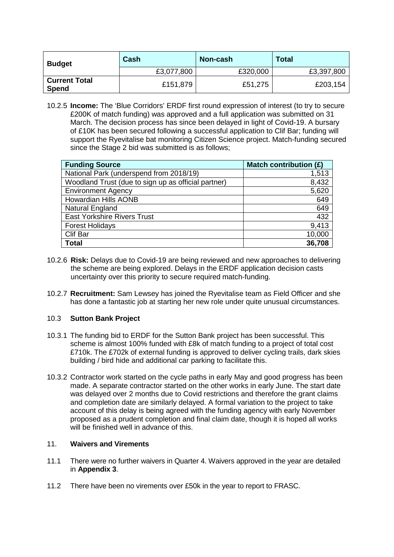| <b>Budget</b>                        | Cash       | Non-cash | <b>Total</b> |
|--------------------------------------|------------|----------|--------------|
|                                      | £3,077,800 | £320,000 | £3,397,800   |
| <b>Current Total</b><br><b>Spend</b> | £151,879   | £51,275  | £203,154     |

10.2.5 **Income:** The 'Blue Corridors' ERDF first round expression of interest (to try to secure £200K of match funding) was approved and a full application was submitted on 31 March. The decision process has since been delayed in light of Covid-19. A bursary of £10K has been secured following a successful application to Clif Bar; funding will support the Ryevitalise bat monitoring Citizen Science project. Match-funding secured since the Stage 2 bid was submitted is as follows;

| <b>Funding Source</b>                               | Match contribution (£) |
|-----------------------------------------------------|------------------------|
| National Park (underspend from 2018/19)             | 1,513                  |
| Woodland Trust (due to sign up as official partner) | 8,432                  |
| <b>Environment Agency</b>                           | 5,620                  |
| <b>Howardian Hills AONB</b>                         | 649                    |
| Natural England                                     | 649                    |
| <b>East Yorkshire Rivers Trust</b>                  | 432                    |
| <b>Forest Holidays</b>                              | 9,413                  |
| <b>Clif Bar</b>                                     | 10,000                 |
| <b>Total</b>                                        | 36,708                 |

- 10.2.6 **Risk:** Delays due to Covid-19 are being reviewed and new approaches to delivering the scheme are being explored. Delays in the ERDF application decision casts uncertainty over this priority to secure required match-funding.
- 10.2.7 **Recruitment:** Sam Lewsey has joined the Ryevitalise team as Field Officer and she has done a fantastic job at starting her new role under quite unusual circumstances.

### 10.3 **Sutton Bank Project**

- 10.3.1 The funding bid to ERDF for the Sutton Bank project has been successful. This scheme is almost 100% funded with £8k of match funding to a project of total cost £710k. The £702k of external funding is approved to deliver cycling trails, dark skies building / bird hide and additional car parking to facilitate this.
- 10.3.2 Contractor work started on the cycle paths in early May and good progress has been made. A separate contractor started on the other works in early June. The start date was delayed over 2 months due to Covid restrictions and therefore the grant claims and completion date are similarly delayed. A formal variation to the project to take account of this delay is being agreed with the funding agency with early November proposed as a prudent completion and final claim date, though it is hoped all works will be finished well in advance of this.

### 11. **Waivers and Virements**

- 11.1 There were no further waivers in Quarter 4. Waivers approved in the year are detailed in **Appendix 3**.
- 11.2 There have been no virements over £50k in the year to report to FRASC.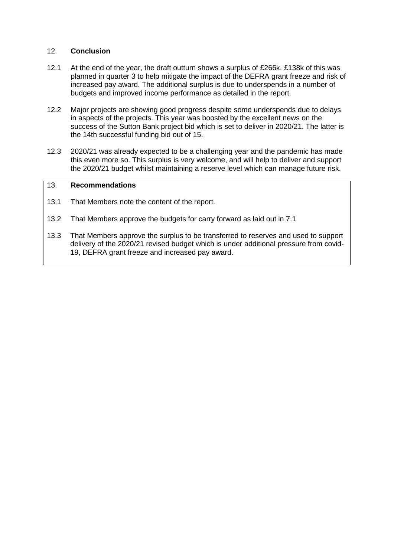### 12. **Conclusion**

- 12.1 At the end of the year, the draft outturn shows a surplus of £266k. £138k of this was planned in quarter 3 to help mitigate the impact of the DEFRA grant freeze and risk of increased pay award. The additional surplus is due to underspends in a number of budgets and improved income performance as detailed in the report.
- 12.2 Major projects are showing good progress despite some underspends due to delays in aspects of the projects. This year was boosted by the excellent news on the success of the Sutton Bank project bid which is set to deliver in 2020/21. The latter is the 14th successful funding bid out of 15.
- 12.3 2020/21 was already expected to be a challenging year and the pandemic has made this even more so. This surplus is very welcome, and will help to deliver and support the 2020/21 budget whilst maintaining a reserve level which can manage future risk.

# 13. **Recommendations**

- 13.1 That Members note the content of the report.
- 13.2 That Members approve the budgets for carry forward as laid out in 7.1
- 13.3 That Members approve the surplus to be transferred to reserves and used to support delivery of the 2020/21 revised budget which is under additional pressure from covid-19, DEFRA grant freeze and increased pay award.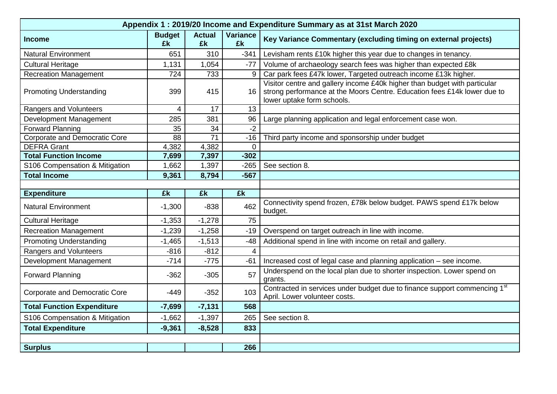| Appendix 1: 2019/20 Income and Expenditure Summary as at 31st March 2020 |                     |                     |                       |                                                                                                                                                                                     |  |  |
|--------------------------------------------------------------------------|---------------------|---------------------|-----------------------|-------------------------------------------------------------------------------------------------------------------------------------------------------------------------------------|--|--|
| <b>Income</b>                                                            | <b>Budget</b><br>£k | <b>Actual</b><br>£k | <b>Variance</b><br>£k | Key Variance Commentary (excluding timing on external projects)                                                                                                                     |  |  |
| <b>Natural Environment</b>                                               | 651                 | 310                 | $-341$                | Levisham rents £10k higher this year due to changes in tenancy.                                                                                                                     |  |  |
| <b>Cultural Heritage</b>                                                 | 1,131               | 1,054               | $-77$                 | Volume of archaeology search fees was higher than expected £8k                                                                                                                      |  |  |
| <b>Recreation Management</b>                                             | 724                 | 733                 | 9                     | Car park fees £47k lower, Targeted outreach income £13k higher.                                                                                                                     |  |  |
| <b>Promoting Understanding</b>                                           | 399                 | 415                 | 16                    | Visitor centre and gallery income £40k higher than budget with particular<br>strong performance at the Moors Centre. Education fees £14k lower due to<br>lower uptake form schools. |  |  |
| Rangers and Volunteers                                                   | 4                   | 17                  | 13                    |                                                                                                                                                                                     |  |  |
| Development Management                                                   | 285                 | 381                 | 96                    | Large planning application and legal enforcement case won.                                                                                                                          |  |  |
| <b>Forward Planning</b>                                                  | 35                  | 34                  | $-2$                  |                                                                                                                                                                                     |  |  |
| <b>Corporate and Democratic Core</b>                                     | $\overline{88}$     | $\overline{71}$     | $-16$                 | Third party income and sponsorship under budget                                                                                                                                     |  |  |
| <b>DEFRA Grant</b>                                                       | 4,382               | 4,382               | $\overline{0}$        |                                                                                                                                                                                     |  |  |
| <b>Total Function Income</b>                                             | 7,699               | 7,397               | $-302$                |                                                                                                                                                                                     |  |  |
| S106 Compensation & Mitigation                                           | 1,662               | 1,397               | $-265$                | See section 8.                                                                                                                                                                      |  |  |
| <b>Total Income</b>                                                      | 9,361               | 8,794               | $-567$                |                                                                                                                                                                                     |  |  |
|                                                                          |                     |                     |                       |                                                                                                                                                                                     |  |  |
| <b>Expenditure</b>                                                       | £k                  | £k                  | £k                    |                                                                                                                                                                                     |  |  |
| <b>Natural Environment</b>                                               | $-1,300$            | $-838$              | 462                   | Connectivity spend frozen, £78k below budget. PAWS spend £17k below<br>budget.                                                                                                      |  |  |
| <b>Cultural Heritage</b>                                                 | $-1,353$            | $-1,278$            | 75                    |                                                                                                                                                                                     |  |  |
| <b>Recreation Management</b>                                             | $-1,239$            | $-1,258$            | $-19$                 | Overspend on target outreach in line with income.                                                                                                                                   |  |  |
| <b>Promoting Understanding</b>                                           | $-1,465$            | $-1,513$            | $-48$                 | Additional spend in line with income on retail and gallery.                                                                                                                         |  |  |
| Rangers and Volunteers                                                   | $-816$              | $-812$              |                       |                                                                                                                                                                                     |  |  |
|                                                                          |                     |                     | 4                     |                                                                                                                                                                                     |  |  |
| Development Management                                                   | $-714$              | $-775$              | $-61$                 | Increased cost of legal case and planning application - see income.                                                                                                                 |  |  |
| <b>Forward Planning</b>                                                  | $-362$              | $-305$              | 57                    | Underspend on the local plan due to shorter inspection. Lower spend on<br>grants.                                                                                                   |  |  |
| <b>Corporate and Democratic Core</b>                                     | $-449$              | $-352$              | 103                   | Contracted in services under budget due to finance support commencing 1 <sup>st</sup><br>April. Lower volunteer costs.                                                              |  |  |
| <b>Total Function Expenditure</b>                                        | $-7,699$            | $-7,131$            | 568                   |                                                                                                                                                                                     |  |  |
| S106 Compensation & Mitigation                                           | $-1,662$            | $-1,397$            | 265                   | See section 8.                                                                                                                                                                      |  |  |
| <b>Total Expenditure</b>                                                 | $-9,361$            | $-8,528$            | 833                   |                                                                                                                                                                                     |  |  |
| <b>Surplus</b>                                                           |                     |                     | 266                   |                                                                                                                                                                                     |  |  |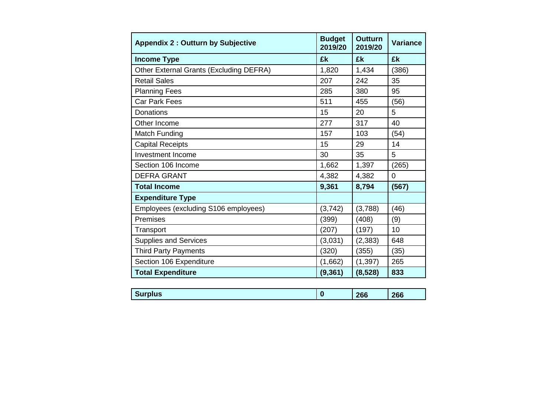| <b>Appendix 2: Outturn by Subjective</b> | <b>Budget</b><br>2019/20 | <b>Outturn</b><br>2019/20 | <b>Variance</b> |
|------------------------------------------|--------------------------|---------------------------|-----------------|
| <b>Income Type</b>                       | £k                       | £k                        | £k              |
| Other External Grants (Excluding DEFRA)  | 1,820                    | 1,434                     | (386)           |
| <b>Retail Sales</b>                      | 207                      | 242                       | 35              |
| <b>Planning Fees</b>                     | 285                      | 380                       | 95              |
| <b>Car Park Fees</b>                     | 511                      | 455                       | (56)            |
| <b>Donations</b>                         | 15                       | 20                        | 5               |
| Other Income                             | 277                      | 317                       | 40              |
| Match Funding                            | 157                      | 103                       | (54)            |
| <b>Capital Receipts</b>                  | 15                       | 29                        | 14              |
| Investment Income                        | 30                       | 35                        | 5               |
| Section 106 Income                       | 1,662                    | 1,397                     | (265)           |
| <b>DEFRA GRANT</b>                       | 4,382                    | 4,382                     | 0               |
| <b>Total Income</b>                      | 9,361                    | 8,794                     | (567)           |
| <b>Expenditure Type</b>                  |                          |                           |                 |
| Employees (excluding S106 employees)     | (3,742)                  | (3,788)                   | (46)            |
| Premises                                 | (399)                    | (408)                     | (9)             |
| Transport                                | (207)                    | (197)                     | 10              |
| <b>Supplies and Services</b>             | (3,031)                  | (2, 383)                  | 648             |
| <b>Third Party Payments</b>              | (320)                    | (355)                     | (35)            |
| Section 106 Expenditure                  | (1,662)                  | (1, 397)                  | 265             |
| <b>Total Expenditure</b>                 | (9, 361)                 | (8,528)                   | 833             |

| œ<br><b>TUS</b> | nnr.<br>--- | <br>הי<br>$-0.5$ |
|-----------------|-------------|------------------|
|                 |             |                  |